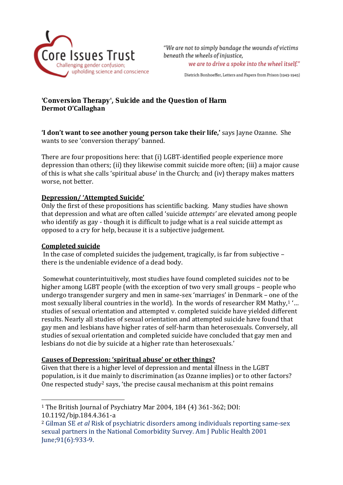

"We are not to simply bandage the wounds of victims beneath the wheels of injustice. we are to drive a spoke into the wheel itself."

Dietrich Bonhoeffer, Letters and Papers from Prison (1943-1945)

'Conversion Therapy', Suicide and the Question of Harm **Dermot O'Callaghan**

**'I don't want to see another young person take their life,'** says Jayne Ozanne. She wants to see 'conversion therapy' banned.

There are four propositions here: that (i) LGBT-identified people experience more depression than others; (ii) they likewise commit suicide more often; (iii) a major cause of this is what she calls 'spiritual abuse' in the Church; and (iv) therapy makes matters worse, not better.

## **Depression/ 'Attempted Suicide'**

Only the first of these propositions has scientific backing. Many studies have shown that depression and what are often called 'suicide *attempts'* are elevated among people who identify as gay - though it is difficult to judge what is a real suicide attempt as opposed to a cry for help, because it is a subjective judgement.

#### **Completed suicide**

 $\overline{a}$ 

In the case of completed suicides the judgement, tragically, is far from subjective – there is the undeniable evidence of a dead body.

Somewhat counterintuitively, most studies have found completed suicides *not* to be higher among LGBT people (with the exception of two very small groups – people who undergo transgender surgery and men in same-sex 'marriages' in Denmark – one of the most sexually liberal countries in the world). In the words of researcher RM Mathy,<sup>1</sup> '... studies of sexual orientation and attempted v. completed suicide have yielded different results. Nearly all studies of sexual orientation and attempted suicide have found that gay men and lesbians have higher rates of self-harm than heterosexuals. Conversely, all studies of sexual orientation and completed suicide have concluded that gay men and lesbians do not die by suicide at a higher rate than heterosexuals.'

#### **Causes of Depression: 'spiritual abuse' or other things?**

Given that there is a higher level of depression and mental illness in the LGBT population, is it due mainly to discrimination (as Ozanne implies) or to other factors? One respected study<sup>2</sup> says, 'the precise causal mechanism at this point remains

<sup>1</sup> The British Journal of Psychiatry Mar 2004, 184 (4) 361-362; DOI: 10.1192/bjp.184.4.361-a

<sup>2</sup> Gilman SE *et al* Risk of psychiatric disorders among individuals reporting same-sex sexual partners in the National Comorbidity Survey. Am J Public Health 2001 June;91(6):933-9.